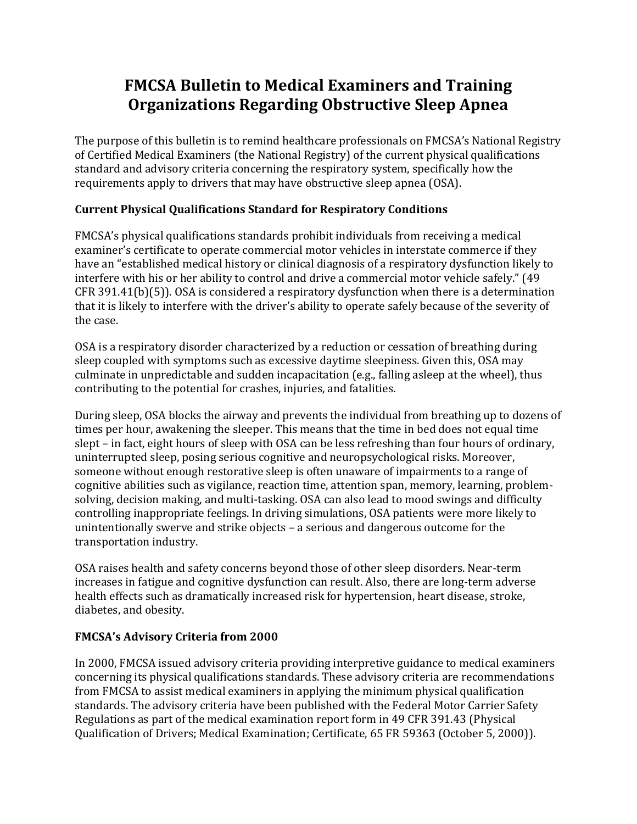# **FMCSA Bulletin to Medical Examiners and Training Organizations Regarding Obstructive Sleep Apnea**

The purpose of this bulletin is to remind healthcare professionals on FMCSA's National Registry of Certified Medical Examiners (the National Registry) of the current physical qualifications standard and advisory criteria concerning the respiratory system, specifically how the requirements apply to drivers that may have obstructive sleep apnea (OSA).

## **Current Physical Qualifications Standard for Respiratory Conditions**

FMCSA's physical qualifications standards prohibit individuals from receiving a medical examiner's certificate to operate commercial motor vehicles in interstate commerce if they have an "established medical history or clinical diagnosis of a respiratory dysfunction likely to interfere with his or her ability to control and drive a commercial motor vehicle safely." (49 CFR 391.41(b)(5)). OSA is considered a respiratory dysfunction when there is a determination that it is likely to interfere with the driver's ability to operate safely because of the severity of the case.

OSA is a respiratory disorder characterized by a reduction or cessation of breathing during sleep coupled with symptoms such as excessive daytime sleepiness. Given this, OSA may culminate in unpredictable and sudden incapacitation (e.g., falling asleep at the wheel), thus contributing to the potential for crashes, injuries, and fatalities.

During sleep, OSA blocks the airway and prevents the individual from breathing up to dozens of times per hour, awakening the sleeper. This means that the time in bed does not equal time slept – in fact, eight hours of sleep with OSA can be less refreshing than four hours of ordinary, uninterrupted sleep, posing serious cognitive and neuropsychological risks. Moreover, someone without enough restorative sleep is often unaware of impairments to a range of cognitive abilities such as vigilance, reaction time, attention span, memory, learning, problemsolving, decision making, and multi-tasking. OSA can also lead to mood swings and difficulty controlling inappropriate feelings. In driving simulations, OSA patients were more likely to unintentionally swerve and strike objects – a serious and dangerous outcome for the transportation industry.

OSA raises health and safety concerns beyond those of other sleep disorders. Near-term increases in fatigue and cognitive dysfunction can result. Also, there are long-term adverse health effects such as dramatically increased risk for hypertension, heart disease, stroke, diabetes, and obesity.

### **FMCSA's Advisory Criteria from 2000**

In 2000, FMCSA issued advisory criteria providing interpretive guidance to medical examiners concerning its physical qualifications standards. These advisory criteria are recommendations from FMCSA to assist medical examiners in applying the minimum physical qualification standards. The advisory criteria have been published with the Federal Motor Carrier Safety Regulations as part of the medical examination report form in 49 CFR 391.43 (Physical Qualification of Drivers; Medical Examination; Certificate, 65 FR 59363 (October 5, 2000)).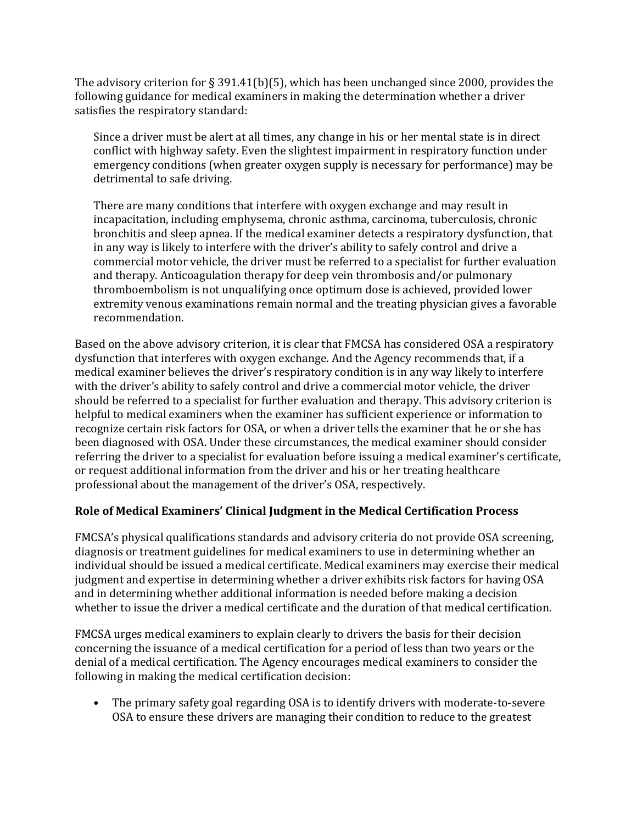The advisory criterion for § 391.41(b)(5), which has been unchanged since 2000, provides the following guidance for medical examiners in making the determination whether a driver satisfies the respiratory standard:

Since a driver must be alert at all times, any change in his or her mental state is in direct conflict with highway safety. Even the slightest impairment in respiratory function under emergency conditions (when greater oxygen supply is necessary for performance) may be detrimental to safe driving.

There are many conditions that interfere with oxygen exchange and may result in incapacitation, including emphysema, chronic asthma, carcinoma, tuberculosis, chronic bronchitis and sleep apnea. If the medical examiner detects a respiratory dysfunction, that in any way is likely to interfere with the driver's ability to safely control and drive a commercial motor vehicle, the driver must be referred to a specialist for further evaluation and therapy. Anticoagulation therapy for deep vein thrombosis and/or pulmonary thromboembolism is not unqualifying once optimum dose is achieved, provided lower extremity venous examinations remain normal and the treating physician gives a favorable recommendation.

Based on the above advisory criterion, it is clear that FMCSA has considered OSA a respiratory dysfunction that interferes with oxygen exchange. And the Agency recommends that, if a medical examiner believes the driver's respiratory condition is in any way likely to interfere with the driver's ability to safely control and drive a commercial motor vehicle, the driver should be referred to a specialist for further evaluation and therapy. This advisory criterion is helpful to medical examiners when the examiner has sufficient experience or information to recognize certain risk factors for OSA, or when a driver tells the examiner that he or she has been diagnosed with OSA. Under these circumstances, the medical examiner should consider referring the driver to a specialist for evaluation before issuing a medical examiner's certificate, or request additional information from the driver and his or her treating healthcare professional about the management of the driver's OSA, respectively.

### **Role of Medical Examiners' Clinical Judgment in the Medical Certification Process**

FMCSA's physical qualifications standards and advisory criteria do not provide OSA screening, diagnosis or treatment guidelines for medical examiners to use in determining whether an individual should be issued a medical certificate. Medical examiners may exercise their medical judgment and expertise in determining whether a driver exhibits risk factors for having OSA and in determining whether additional information is needed before making a decision whether to issue the driver a medical certificate and the duration of that medical certification.

FMCSA urges medical examiners to explain clearly to drivers the basis for their decision concerning the issuance of a medical certification for a period of less than two years or the denial of a medical certification. The Agency encourages medical examiners to consider the following in making the medical certification decision:

• The primary safety goal regarding OSA is to identify drivers with moderate-to-severe OSA to ensure these drivers are managing their condition to reduce to the greatest